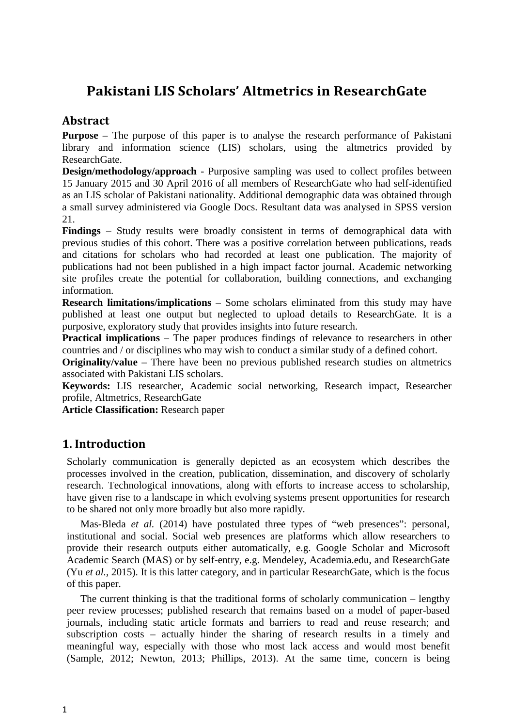# **Pakistani LIS Scholars' Altmetrics in ResearchGate**

## **Abstract**

**Purpose** – The purpose of this paper is to analyse the research performance of Pakistani library and information science (LIS) scholars, using the altmetrics provided by ResearchGate.

**Design/methodology/approach** - Purposive sampling was used to collect profiles between 15 January 2015 and 30 April 2016 of all members of ResearchGate who had self-identified as an LIS scholar of Pakistani nationality. Additional demographic data was obtained through a small survey administered via Google Docs. Resultant data was analysed in SPSS version 21.

**Findings** – Study results were broadly consistent in terms of demographical data with previous studies of this cohort. There was a positive correlation between publications, reads and citations for scholars who had recorded at least one publication. The majority of publications had not been published in a high impact factor journal. Academic networking site profiles create the potential for collaboration, building connections, and exchanging information.

**Research limitations/implications** – Some scholars eliminated from this study may have published at least one output but neglected to upload details to ResearchGate. It is a purposive, exploratory study that provides insights into future research.

**Practical implications** – The paper produces findings of relevance to researchers in other countries and / or disciplines who may wish to conduct a similar study of a defined cohort.

**Originality/value** – There have been no previous published research studies on altmetrics associated with Pakistani LIS scholars.

**Keywords:** LIS researcher, Academic social networking, Research impact, Researcher profile, Altmetrics, ResearchGate

**Article Classification:** Research paper

## **1. Introduction**

Scholarly communication is generally depicted as an ecosystem which describes the processes involved in the creation, publication, dissemination, and discovery of scholarly research. Technological innovations, along with efforts to increase access to scholarship, have given rise to a landscape in which evolving systems present opportunities for research to be shared not only more broadly but also more rapidly.

Mas-Bleda *et al.* (2014) have postulated three types of "web presences": personal, institutional and social. Social web presences are platforms which allow researchers to provide their research outputs either automatically, e.g. Google Scholar and Microsoft Academic Search (MAS) or by self-entry, e.g. Mendeley, Academia.edu, and ResearchGate (Yu *et al.*, 2015). It is this latter category, and in particular ResearchGate, which is the focus of this paper.

The current thinking is that the traditional forms of scholarly communication – lengthy peer review processes; published research that remains based on a model of paper-based journals, including static article formats and barriers to read and reuse research; and subscription costs – actually hinder the sharing of research results in a timely and meaningful way, especially with those who most lack access and would most benefit (Sample, 2012; Newton, 2013; Phillips, 2013). At the same time, concern is being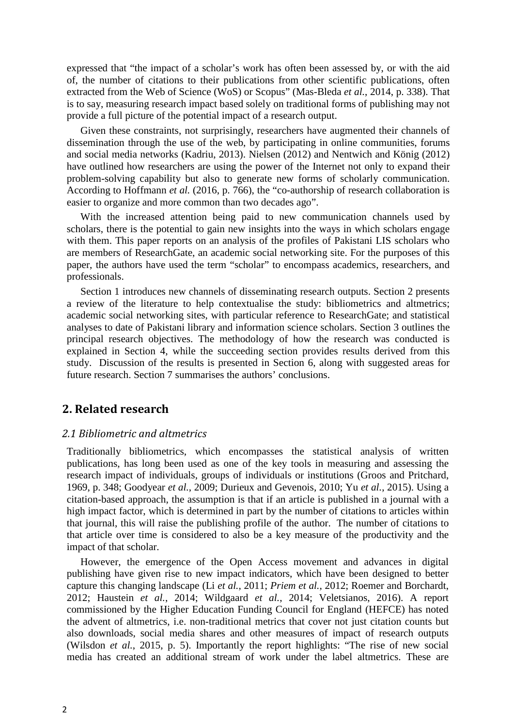expressed that "the impact of a scholar's work has often been assessed by, or with the aid of, the number of citations to their publications from other scientific publications, often extracted from the Web of Science (WoS) or Scopus" (Mas-Bleda *et al.*, 2014, p. 338). That is to say, measuring research impact based solely on traditional forms of publishing may not provide a full picture of the potential impact of a research output.

Given these constraints, not surprisingly, researchers have augmented their channels of dissemination through the use of the web, by participating in online communities, forums and social media networks (Kadriu, 2013). Nielsen (2012) and Nentwich and König (2012) have outlined how researchers are using the power of the Internet not only to expand their problem-solving capability but also to generate new forms of scholarly communication. According to Hoffmann *et al.* (2016, p. 766), the "co-authorship of research collaboration is easier to organize and more common than two decades ago".

With the increased attention being paid to new communication channels used by scholars, there is the potential to gain new insights into the ways in which scholars engage with them. This paper reports on an analysis of the profiles of Pakistani LIS scholars who are members of ResearchGate, an academic social networking site. For the purposes of this paper, the authors have used the term "scholar" to encompass academics, researchers, and professionals.

Section 1 introduces new channels of disseminating research outputs. Section 2 presents a review of the literature to help contextualise the study: bibliometrics and altmetrics; academic social networking sites, with particular reference to ResearchGate; and statistical analyses to date of Pakistani library and information science scholars. Section 3 outlines the principal research objectives. The methodology of how the research was conducted is explained in Section 4, while the succeeding section provides results derived from this study. Discussion of the results is presented in Section 6, along with suggested areas for future research. Section 7 summarises the authors' conclusions.

## **2. Related research**

#### *2.1 Bibliometric and altmetrics*

Traditionally bibliometrics, which encompasses the statistical analysis of written publications, has long been used as one of the key tools in measuring and assessing the research impact of individuals, groups of individuals or institutions (Groos and Pritchard, 1969, p. 348; Goodyear *et al.*, 2009; Durieux and Gevenois, 2010; Yu *et al.*, 2015). Using a citation-based approach, the assumption is that if an article is published in a journal with a high impact factor, which is determined in part by the number of citations to articles within that journal, this will raise the publishing profile of the author. The number of citations to that article over time is considered to also be a key measure of the productivity and the impact of that scholar.

However, the emergence of the Open Access movement and advances in digital publishing have given rise to new impact indicators, which have been designed to better capture this changing landscape (Li *et al.*, 2011; *Priem et al.*, 2012; Roemer and Borchardt, 2012; Haustein *et al.*, 2014; Wildgaard *et al.*, 2014; Veletsianos, 2016). A report commissioned by the Higher Education Funding Council for England (HEFCE) has noted the advent of altmetrics, i.e. non-traditional metrics that cover not just citation counts but also downloads, social media shares and other measures of impact of research outputs (Wilsdon *et al.*, 2015, p. 5). Importantly the report highlights: "The rise of new social media has created an additional stream of work under the label altmetrics. These are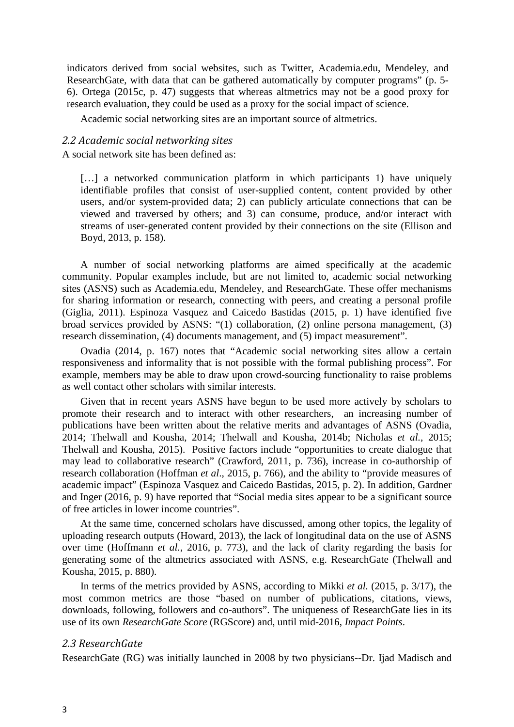indicators derived from social websites, such as Twitter, Academia.edu, Mendeley, and ResearchGate, with data that can be gathered automatically by computer programs" (p. 5-6). Ortega (2015c, p. 47) suggests that whereas altmetrics may not be a good proxy for research evaluation, they could be used as a proxy for the social impact of science.

Academic social networking sites are an important source of altmetrics.

#### *2.2 Academic social networking sites*

A social network site has been defined as:

[...] a networked communication platform in which participants 1) have uniquely identifiable profiles that consist of user-supplied content, content provided by other users, and/or system-provided data; 2) can publicly articulate connections that can be viewed and traversed by others; and 3) can consume, produce, and/or interact with streams of user-generated content provided by their connections on the site (Ellison and Boyd, 2013, p. 158).

A number of social networking platforms are aimed specifically at the academic community. Popular examples include, but are not limited to, academic social networking sites (ASNS) such as Academia.edu, Mendeley, and ResearchGate. These offer mechanisms for sharing information or research, connecting with peers, and creating a personal profile (Giglia, 2011). Espinoza Vasquez and Caicedo Bastidas (2015, p. 1) have identified five broad services provided by ASNS: "(1) collaboration, (2) online persona management, (3) research dissemination, (4) documents management, and (5) impact measurement".

Ovadia (2014, p. 167) notes that "Academic social networking sites allow a certain responsiveness and informality that is not possible with the formal publishing process". For example, members may be able to draw upon crowd-sourcing functionality to raise problems as well contact other scholars with similar interests.

Given that in recent years ASNS have begun to be used more actively by scholars to promote their research and to interact with other researchers, an increasing number of publications have been written about the relative merits and advantages of ASNS (Ovadia, 2014; Thelwall and Kousha, 2014; Thelwall and Kousha, 2014b; Nicholas *et al.*, 2015; Thelwall and Kousha, 2015). Positive factors include "opportunities to create dialogue that may lead to collaborative research" (Crawford, 2011, p. 736), increase in co-authorship of research collaboration (Hoffman *et al*., 2015, p. 766), and the ability to "provide measures of academic impact" (Espinoza Vasquez and Caicedo Bastidas, 2015, p. 2). In addition, Gardner and Inger (2016, p. 9) have reported that "Social media sites appear to be a significant source of free articles in lower income countries".

At the same time, concerned scholars have discussed, among other topics, the legality of uploading research outputs (Howard, 2013), the lack of longitudinal data on the use of ASNS over time (Hoffmann *et al.*, 2016, p. 773), and the lack of clarity regarding the basis for generating some of the altmetrics associated with ASNS, e.g. ResearchGate (Thelwall and Kousha, 2015, p. 880).

In terms of the metrics provided by ASNS, according to Mikki *et al.* (2015, p. 3/17), the most common metrics are those "based on number of publications, citations, views, downloads, following, followers and co-authors". The uniqueness of ResearchGate lies in its use of its own *ResearchGate Score* (RGScore) and, until mid-2016, *Impact Points*.

#### *2.3 ResearchGate*

ResearchGate (RG) was initially launched in 2008 by two physicians--Dr. Ijad Madisch and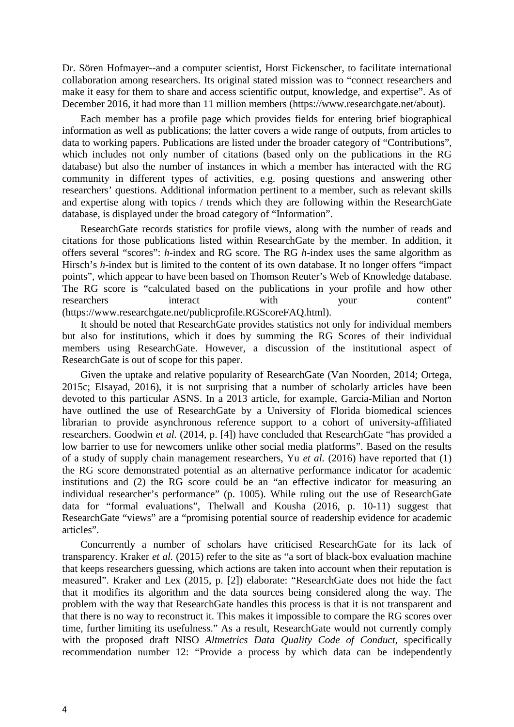Dr. Sören Hofmayer--and a computer scientist, Horst Fickenscher, to facilitate international collaboration among researchers. Its original stated mission was to "connect researchers and make it easy for them to share and access scientific output, knowledge, and expertise". As of December 2016, it had more than 11 million members (https://www.researchgate.net/about).

Each member has a profile page which provides fields for entering brief biographical information as well as publications; the latter covers a wide range of outputs, from articles to data to working papers. Publications are listed under the broader category of "Contributions", which includes not only number of citations (based only on the publications in the RG database) but also the number of instances in which a member has interacted with the RG community in different types of activities, e.g. posing questions and answering other researchers' questions. Additional information pertinent to a member, such as relevant skills and expertise along with topics / trends which they are following within the ResearchGate database, is displayed under the broad category of "Information".

ResearchGate records statistics for profile views, along with the number of reads and citations for those publications listed within ResearchGate by the member. In addition, it offers several "scores": *h*-index and RG score. The RG *h*-index uses the same algorithm as Hirsch's *h*-index but is limited to the content of its own database. It no longer offers "impact" points", which appear to have been based on Thomson Reuter's Web of Knowledge database. The RG score is "calculated based on the publications in your profile and how other researchers interact with your content" (https://www.researchgate.net/publicprofile.RGScoreFAQ.html).

It should be noted that ResearchGate provides statistics not only for individual members but also for institutions, which it does by summing the RG Scores of their individual members using ResearchGate. However, a discussion of the institutional aspect of ResearchGate is out of scope for this paper.

Given the uptake and relative popularity of ResearchGate (Van Noorden, 2014; Ortega, 2015c; Elsayad, 2016), it is not surprising that a number of scholarly articles have been devoted to this particular ASNS. In a 2013 article, for example, Garcia-Milian and Norton have outlined the use of ResearchGate by a University of Florida biomedical sciences librarian to provide asynchronous reference support to a cohort of university-affiliated researchers. Goodwin *et al.* (2014, p. [4]) have concluded that ResearchGate "has provided a low barrier to use for newcomers unlike other social media platforms". Based on the results of a study of supply chain management researchers, Yu *et al.* (2016) have reported that (1) the RG score demonstrated potential as an alternative performance indicator for academic institutions and (2) the RG score could be an "an effective indicator for measuring an individual researcher's performance" (p. 1005). While ruling out the use of ResearchGate data for "formal evaluations", Thelwall and Kousha (2016, p. 10-11) suggest that ResearchGate "views" are a "promising potential source of readership evidence for academic articles".

Concurrently a number of scholars have criticised ResearchGate for its lack of transparency. Kraker *et al.* (2015) refer to the site as "a sort of black-box evaluation machine that keeps researchers guessing, which actions are taken into account when their reputation is measured". Kraker and Lex (2015, p. [2]) elaborate: "ResearchGate does not hide the fact that it modifies its algorithm and the data sources being considered along the way. The problem with the way that ResearchGate handles this process is that it is not transparent and that there is no way to reconstruct it. This makes it impossible to compare the RG scores over time, further limiting its usefulness." As a result, ResearchGate would not currently comply with the proposed draft NISO *Altmetrics Data Quality Code of Conduct*, specifically recommendation number 12: "Provide a process by which data can be independently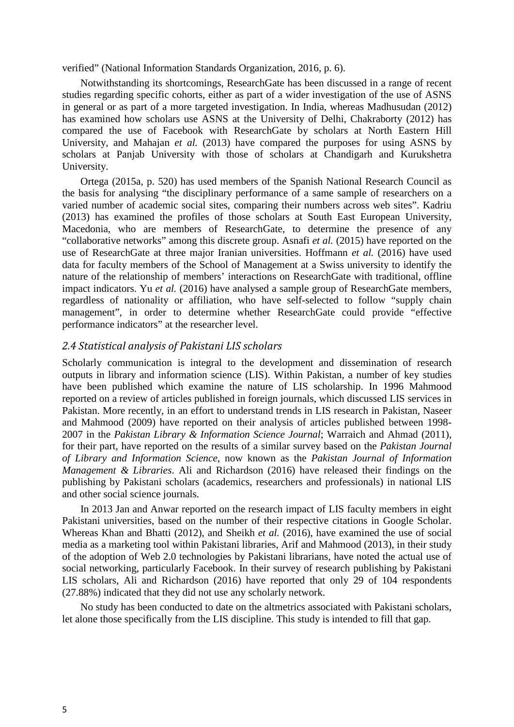verified" (National Information Standards Organization, 2016, p. 6).

Notwithstanding its shortcomings, ResearchGate has been discussed in a range of recent studies regarding specific cohorts, either as part of a wider investigation of the use of ASNS in general or as part of a more targeted investigation. In India, whereas Madhusudan (2012) has examined how scholars use ASNS at the University of Delhi, Chakraborty (2012) has compared the use of Facebook with ResearchGate by scholars at North Eastern Hill University, and Mahajan *et al.* (2013) have compared the purposes for using ASNS by scholars at Panjab University with those of scholars at Chandigarh and Kurukshetra University.

Ortega (2015a, p. 520) has used members of the Spanish National Research Council as the basis for analysing "the disciplinary performance of a same sample of researchers on a varied number of academic social sites, comparing their numbers across web sites". Kadriu (2013) has examined the profiles of those scholars at South East European University, Macedonia, who are members of ResearchGate, to determine the presence of any "collaborative networks" among this discrete group. Asnafi *et al.* (2015) have reported on the use of ResearchGate at three major Iranian universities. Hoffmann *et al.* (2016) have used data for faculty members of the School of Management at a Swiss university to identify the nature of the relationship of members' interactions on ResearchGate with traditional, offline impact indicators. Yu *et al.* (2016) have analysed a sample group of ResearchGate members, regardless of nationality or affiliation, who have self-selected to follow "supply chain management", in order to determine whether ResearchGate could provide "effective performance indicators" at the researcher level.

#### *2.4 Statistical analysis of Pakistani LIS scholars*

Scholarly communication is integral to the development and dissemination of research outputs in library and information science (LIS). Within Pakistan, a number of key studies have been published which examine the nature of LIS scholarship. In 1996 Mahmood reported on a review of articles published in foreign journals, which discussed LIS services in Pakistan. More recently, in an effort to understand trends in LIS research in Pakistan, Naseer and Mahmood (2009) have reported on their analysis of articles published between 1998- 2007 in the *Pakistan Library & Information Science Journal*; Warraich and Ahmad (2011), for their part, have reported on the results of a similar survey based on the *Pakistan Journal of Library and Information Science*, now known as the *Pakistan Journal of Information Management & Libraries*. Ali and Richardson (2016) have released their findings on the publishing by Pakistani scholars (academics, researchers and professionals) in national LIS and other social science journals.

In 2013 Jan and Anwar reported on the research impact of LIS faculty members in eight Pakistani universities, based on the number of their respective citations in Google Scholar. Whereas Khan and Bhatti (2012), and Sheikh *et al.* (2016), have examined the use of social media as a marketing tool within Pakistani libraries, Arif and Mahmood (2013), in their study of the adoption of Web 2.0 technologies by Pakistani librarians, have noted the actual use of social networking, particularly Facebook. In their survey of research publishing by Pakistani LIS scholars, Ali and Richardson (2016) have reported that only 29 of 104 respondents (27.88%) indicated that they did not use any scholarly network.

No study has been conducted to date on the altmetrics associated with Pakistani scholars, let alone those specifically from the LIS discipline. This study is intended to fill that gap.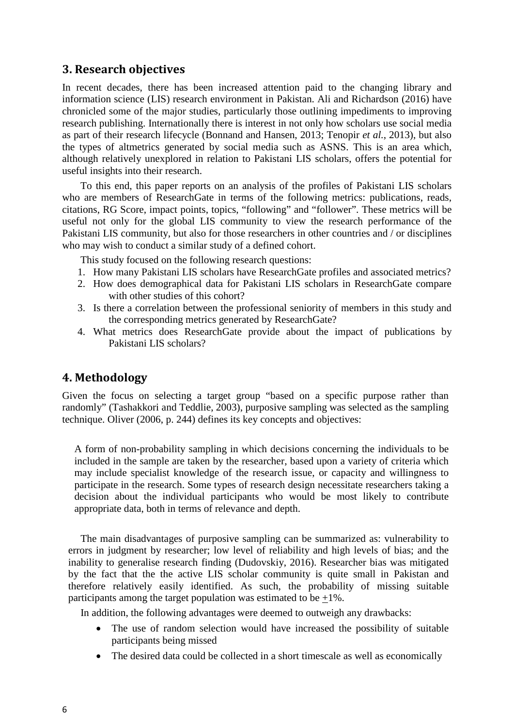## **3. Research objectives**

In recent decades, there has been increased attention paid to the changing library and information science (LIS) research environment in Pakistan. Ali and Richardson (2016) have chronicled some of the major studies, particularly those outlining impediments to improving research publishing. Internationally there is interest in not only how scholars use social media as part of their research lifecycle (Bonnand and Hansen, 2013; Tenopir *et al.*, 2013), but also the types of altmetrics generated by social media such as ASNS. This is an area which, although relatively unexplored in relation to Pakistani LIS scholars, offers the potential for useful insights into their research.

To this end, this paper reports on an analysis of the profiles of Pakistani LIS scholars who are members of ResearchGate in terms of the following metrics: publications, reads, citations, RG Score, impact points, topics, "following" and "follower". These metrics will be useful not only for the global LIS community to view the research performance of the Pakistani LIS community, but also for those researchers in other countries and / or disciplines who may wish to conduct a similar study of a defined cohort.

This study focused on the following research questions:

- 1. How many Pakistani LIS scholars have ResearchGate profiles and associated metrics?
- 2. How does demographical data for Pakistani LIS scholars in ResearchGate compare with other studies of this cohort?
- 3. Is there a correlation between the professional seniority of members in this study and the corresponding metrics generated by ResearchGate?
- 4. What metrics does ResearchGate provide about the impact of publications by Pakistani LIS scholars?

## **4. Methodology**

Given the focus on selecting a target group "based on a specific purpose rather than randomly" (Tashakkori and Teddlie, 2003), purposive sampling was selected as the sampling technique. Oliver (2006, p. 244) defines its key concepts and objectives:

A form of non-probability sampling in which decisions concerning the individuals to be included in the sample are taken by the researcher, based upon a variety of criteria which may include specialist knowledge of the research issue, or capacity and willingness to participate in the research. Some types of research design necessitate researchers taking a decision about the individual participants who would be most likely to contribute appropriate data, both in terms of relevance and depth.

The main disadvantages of purposive sampling can be summarized as: vulnerability to errors in judgment by researcher; low level of reliability and high levels of bias; and the inability to generalise research finding (Dudovskiy, 2016). Researcher bias was mitigated by the fact that the the active LIS scholar community is quite small in Pakistan and therefore relatively easily identified. As such, the probability of missing suitable participants among the target population was estimated to be  $+1\%$ .

In addition, the following advantages were deemed to outweigh any drawbacks:

- The use of random selection would have increased the possibility of suitable participants being missed
- The desired data could be collected in a short timescale as well as economically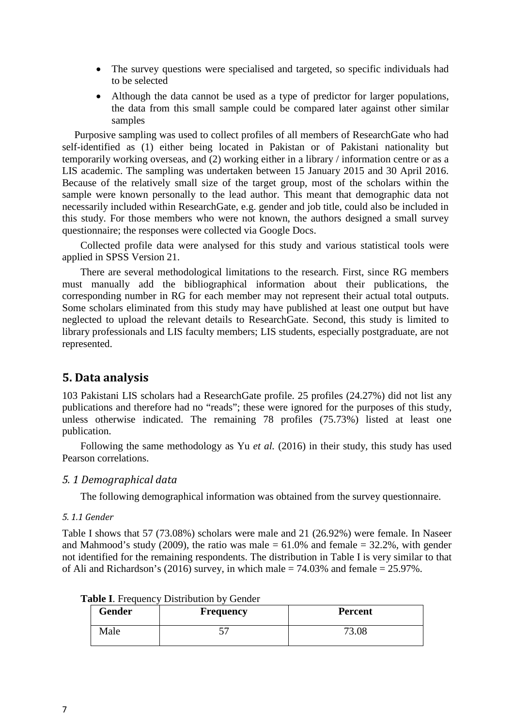- The survey questions were specialised and targeted, so specific individuals had to be selected
- Although the data cannot be used as a type of predictor for larger populations, the data from this small sample could be compared later against other similar samples

Purposive sampling was used to collect profiles of all members of ResearchGate who had self-identified as (1) either being located in Pakistan or of Pakistani nationality but temporarily working overseas, and (2) working either in a library / information centre or as a LIS academic. The sampling was undertaken between 15 January 2015 and 30 April 2016. Because of the relatively small size of the target group, most of the scholars within the sample were known personally to the lead author. This meant that demographic data not necessarily included within ResearchGate, e.g. gender and job title, could also be included in this study. For those members who were not known, the authors designed a small survey questionnaire; the responses were collected via Google Docs.

Collected profile data were analysed for this study and various statistical tools were applied in SPSS Version 21.

There are several methodological limitations to the research. First, since RG members must manually add the bibliographical information about their publications, the corresponding number in RG for each member may not represent their actual total outputs. Some scholars eliminated from this study may have published at least one output but have neglected to upload the relevant details to ResearchGate. Second, this study is limited to library professionals and LIS faculty members; LIS students, especially postgraduate, are not represented.

## **5. Data analysis**

103 Pakistani LIS scholars had a ResearchGate profile. 25 profiles (24.27%) did not list any publications and therefore had no "reads"; these were ignored for the purposes of this study, unless otherwise indicated. The remaining 78 profiles (75.73%) listed at least one publication.

Following the same methodology as Yu *et al.* (2016) in their study, this study has used Pearson correlations.

### *5. 1 Demographical data*

The following demographical information was obtained from the survey questionnaire.

### *5. 1.1 Gender*

Table I shows that 57 (73.08%) scholars were male and 21 (26.92%) were female. In Naseer and Mahmood's study (2009), the ratio was male  $= 61.0\%$  and female  $= 32.2\%$ , with gender not identified for the remaining respondents. The distribution in Table I is very similar to that of Ali and Richardson's (2016) survey, in which male  $= 74.03\%$  and female  $= 25.97\%$ .

| <b>Gender</b> | <b>Frequency</b> | <b>Percent</b> |
|---------------|------------------|----------------|
| Male          |                  |                |

**Table I.** Frequency Distribution by Gender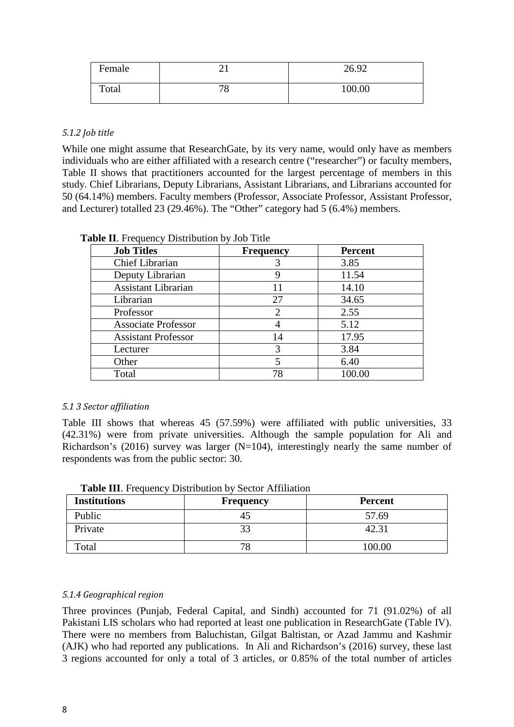| Female |               | 26.92  |
|--------|---------------|--------|
| Total  | 70<br>$\circ$ | 100.00 |

#### *5.1.2 Job title*

While one might assume that ResearchGate, by its very name, would only have as members individuals who are either affiliated with a research centre ("researcher") or faculty members, Table II shows that practitioners accounted for the largest percentage of members in this study. Chief Librarians, Deputy Librarians, Assistant Librarians, and Librarians accounted for 50 (64.14%) members. Faculty members (Professor, Associate Professor, Assistant Professor, and Lecturer) totalled 23 (29.46%). The "Other" category had 5 (6.4%) members.

| <b>Job Titles</b>          | <b>Frequency</b> | <b>Percent</b> |
|----------------------------|------------------|----------------|
| <b>Chief Librarian</b>     |                  | 3.85           |
| Deputy Librarian           | 9                | 11.54          |
| <b>Assistant Librarian</b> | 11               | 14.10          |
| Librarian                  | 27               | 34.65          |
| Professor                  | $\overline{2}$   | 2.55           |
| <b>Associate Professor</b> |                  | 5.12           |
| <b>Assistant Professor</b> | 14               | 17.95          |
| Lecturer                   | 3                | 3.84           |
| Other                      | 5                | 6.40           |
| Total                      | 78               | 100.00         |

|  | Table II. Frequency Distribution by Job Title |  |
|--|-----------------------------------------------|--|
|  |                                               |  |

### *5.1 3 Sector affiliation*

Table III shows that whereas 45 (57.59%) were affiliated with public universities, 33 (42.31%) were from private universities. Although the sample population for Ali and Richardson's (2016) survey was larger (N=104), interestingly nearly the same number of respondents was from the public sector: 30.

| <b>Institutions</b> | <b>Frequency</b> | <b>Percent</b> |
|---------------------|------------------|----------------|
| Public              |                  | 57.69          |
| Private             | 33               | 42.31          |
| Total               | 78               | 00.00          |

**Table III**. Frequency Distribution by Sector Affiliation

#### *5.1.4 Geographical region*

Three provinces (Punjab, Federal Capital, and Sindh) accounted for 71 (91.02%) of all Pakistani LIS scholars who had reported at least one publication in ResearchGate (Table IV). There were no members from Baluchistan, Gilgat Baltistan, or Azad Jammu and Kashmir (AJK) who had reported any publications. In Ali and Richardson's (2016) survey, these last 3 regions accounted for only a total of 3 articles, or 0.85% of the total number of articles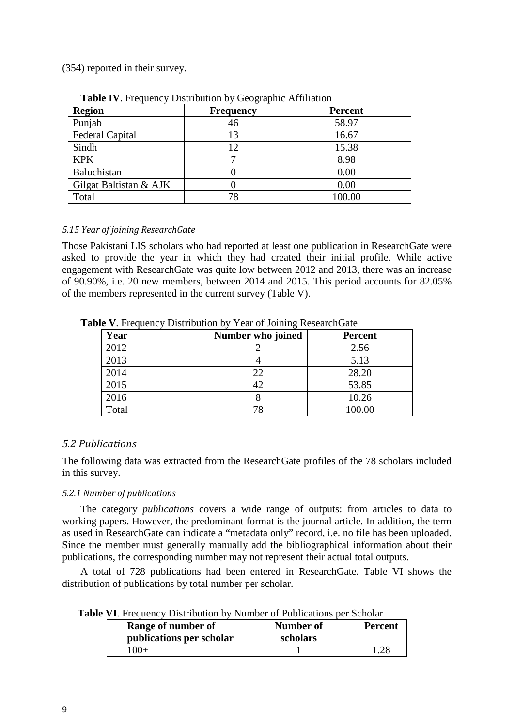(354) reported in their survey.

| <b>Region</b>          | <b>Frequency</b> | <b>Percent</b> |
|------------------------|------------------|----------------|
| Punjab                 | 46               | 58.97          |
| Federal Capital        | 13               | 16.67          |
| Sindh                  | 12               | 15.38          |
| <b>KPK</b>             |                  | 8.98           |
| Baluchistan            |                  | 0.00           |
| Gilgat Baltistan & AJK |                  | 0.00           |
| Total                  | 78               | 100.00         |

**Table IV**. Frequency Distribution by Geographic Affiliation

### *5.15 Year of joining ResearchGate*

Those Pakistani LIS scholars who had reported at least one publication in ResearchGate were asked to provide the year in which they had created their initial profile. While active engagement with ResearchGate was quite low between 2012 and 2013, there was an increase of 90.90%, i.e. 20 new members, between 2014 and 2015. This period accounts for 82.05% of the members represented in the current survey (Table V).

| Year  | Number who joined | <b>Percent</b> |
|-------|-------------------|----------------|
| 2012  |                   | 2.56           |
| 2013  |                   | 5.13           |
| 2014  | 22                | 28.20          |
| 2015  | 42                | 53.85          |
| 2016  |                   | 10.26          |
| Total | 78                | 100.00         |

**Table V**. Frequency Distribution by Year of Joining ResearchGate

## *5.2 Publications*

The following data was extracted from the ResearchGate profiles of the 78 scholars included in this survey.

## *5.2.1 Number of publications*

The category *publications* covers a wide range of outputs: from articles to data to working papers. However, the predominant format is the journal article. In addition, the term as used in ResearchGate can indicate a "metadata only" record, i.e. no file has been uploaded. Since the member must generally manually add the bibliographical information about their publications, the corresponding number may not represent their actual total outputs.

A total of 728 publications had been entered in ResearchGate. Table VI shows the distribution of publications by total number per scholar.

| Range of number of<br>publications per scholar | Number of<br>scholars | <b>Percent</b> |
|------------------------------------------------|-----------------------|----------------|
| $100+$                                         |                       | റ              |

**Table VI**. Frequency Distribution by Number of Publications per Scholar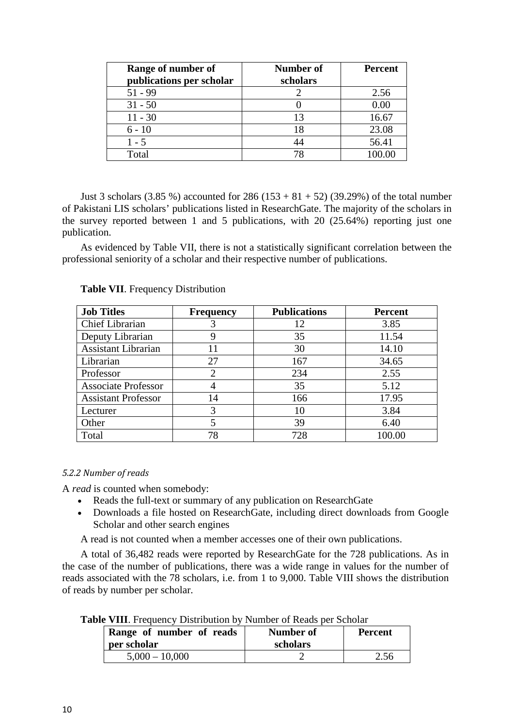| Range of number of<br>publications per scholar | <b>Number of</b><br>scholars | <b>Percent</b> |
|------------------------------------------------|------------------------------|----------------|
| $51 - 99$                                      |                              | 2.56           |
| $31 - 50$                                      |                              | 0.00           |
| $11 - 30$                                      | $\overline{1}$               | 16.67          |
| $6 - 10$                                       | 18                           | 23.08          |
| $1 - 5$                                        |                              | 56.41          |
| Total                                          |                              |                |

Just 3 scholars (3.85 %) accounted for  $286 (153 + 81 + 52) (39.29%)$  of the total number of Pakistani LIS scholars' publications listed in ResearchGate. The majority of the scholars in the survey reported between 1 and 5 publications, with 20 (25.64%) reporting just one publication.

As evidenced by Table VII, there is not a statistically significant correlation between the professional seniority of a scholar and their respective number of publications.

| <b>Job Titles</b>          | <b>Frequency</b> | <b>Publications</b> | <b>Percent</b> |
|----------------------------|------------------|---------------------|----------------|
| <b>Chief Librarian</b>     |                  | 12                  | 3.85           |
| Deputy Librarian           | 9                | 35                  | 11.54          |
| <b>Assistant Librarian</b> | 11               | 30                  | 14.10          |
| Librarian                  | 27               | 167                 | 34.65          |
| Professor                  | 2                | 234                 | 2.55           |
| <b>Associate Professor</b> |                  | 35                  | 5.12           |
| <b>Assistant Professor</b> | 14               | 166                 | 17.95          |
| Lecturer                   | 3                | 10                  | 3.84           |
| Other                      |                  | 39                  | 6.40           |
| Total                      | 78               | 728                 | 100.00         |

**Table VII**. Frequency Distribution

#### *5.2.2 Number of reads*

A *read* is counted when somebody:

- Reads the full-text or summary of any publication on ResearchGate
- Downloads a file hosted on ResearchGate, including direct downloads from Google Scholar and other search engines

A read is not counted when a member accesses one of their own publications.

A total of 36,482 reads were reported by ResearchGate for the 728 publications. As in the case of the number of publications, there was a wide range in values for the number of reads associated with the 78 scholars, i.e. from 1 to 9,000. Table VIII shows the distribution of reads by number per scholar.

| Range of number of reads<br>per scholar | Number of<br>scholars | <b>Percent</b> |
|-----------------------------------------|-----------------------|----------------|
| $5,000 - 10,000$                        |                       | 2.56           |

**Table VIII.** Frequency Distribution by Number of Reads per Scholar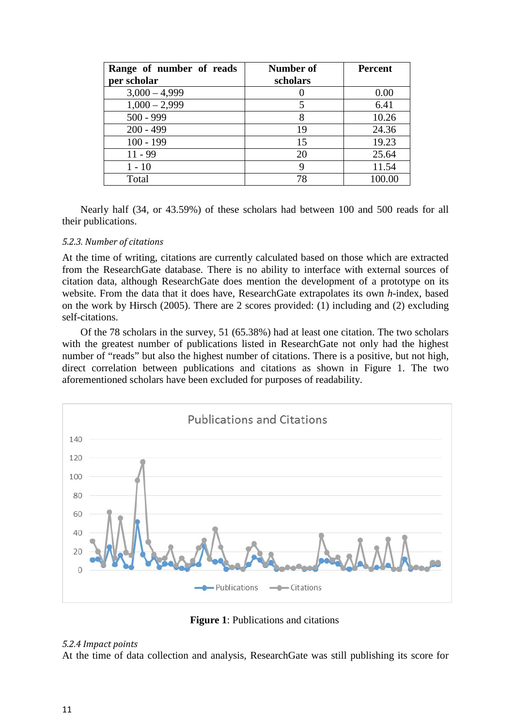| Range of number of reads | Number of | <b>Percent</b> |
|--------------------------|-----------|----------------|
| per scholar              | scholars  |                |
| $3,000 - 4,999$          |           | 0.00           |
| $1,000 - 2,999$          |           | 6.41           |
| $500 - 999$              | 8         | 10.26          |
| $200 - 499$              | 19        | 24.36          |
| $100 - 199$              | 15        | 19.23          |
| $11 - 99$                | 20        | 25.64          |
| $1 - 10$                 | 9         | 11.54          |
| Total                    | 78        | 100.00         |

Nearly half (34, or 43.59%) of these scholars had between 100 and 500 reads for all their publications.

#### *5.2.3. Number of citations*

At the time of writing, citations are currently calculated based on those which are extracted from the ResearchGate database. There is no ability to interface with external sources of citation data, although ResearchGate does mention the development of a prototype on its website. From the data that it does have, ResearchGate extrapolates its own *h*-index, based on the work by Hirsch (2005). There are 2 scores provided: (1) including and (2) excluding self-citations.

Of the 78 scholars in the survey, 51 (65.38%) had at least one citation. The two scholars with the greatest number of publications listed in ResearchGate not only had the highest number of "reads" but also the highest number of citations. There is a positive, but not high, direct correlation between publications and citations as shown in Figure 1. The two aforementioned scholars have been excluded for purposes of readability.



**Figure 1**: Publications and citations

#### *5.2.4 Impact points*

At the time of data collection and analysis, ResearchGate was still publishing its score for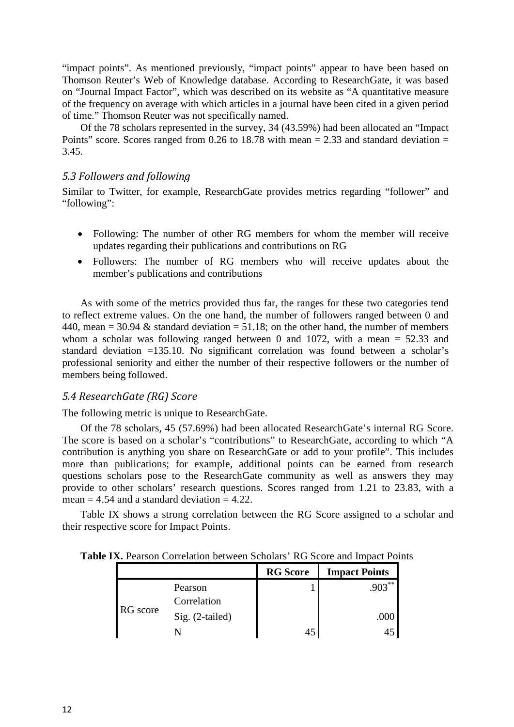"impact points". As mentioned previously, "impact points" appear to have been based on Thomson Reuter's Web of Knowledge database. According to ResearchGate, it was based on "Journal Impact Factor", which was described on its website as "A quantitative measure of the frequency on average with which articles in a journal have been cited in a given period of time." Thomson Reuter was not specifically named.

Of the 78 scholars represented in the survey, 34 (43.59%) had been allocated an "Impact Points" score. Scores ranged from 0.26 to 18.78 with mean  $= 2.33$  and standard deviation  $=$ 3.45.

#### *5.3 Followers and following*

Similar to Twitter, for example, ResearchGate provides metrics regarding "follower" and "following":

- Following: The number of other RG members for whom the member will receive updates regarding their publications and contributions on RG
- Followers: The number of RG members who will receive updates about the member's publications and contributions

As with some of the metrics provided thus far, the ranges for these two categories tend to reflect extreme values. On the one hand, the number of followers ranged between 0 and 440, mean = 30.94  $\&$  standard deviation = 51.18; on the other hand, the number of members whom a scholar was following ranged between 0 and 1072, with a mean  $= 52.33$  and standard deviation =135.10. No significant correlation was found between a scholar's professional seniority and either the number of their respective followers or the number of members being followed.

#### *5.4 ResearchGate (RG) Score*

The following metric is unique to ResearchGate.

Of the 78 scholars, 45 (57.69%) had been allocated ResearchGate's internal RG Score. The score is based on a scholar's "contributions" to ResearchGate, according to which "A contribution is anything you share on ResearchGate or add to your profile". This includes more than publications; for example, additional points can be earned from research questions scholars pose to the ResearchGate community as well as answers they may provide to other scholars' research questions. Scores ranged from 1.21 to 23.83, with a mean  $= 4.54$  and a standard deviation  $= 4.22$ .

Table IX shows a strong correlation between the RG Score assigned to a scholar and their respective score for Impact Points.

|          |                 | <b>RG</b> Score | <b>Impact Points</b> |
|----------|-----------------|-----------------|----------------------|
| RG score | Pearson         |                 | $.903***$            |
|          | Correlation     |                 |                      |
|          | Sig. (2-tailed) |                 | .UUC                 |
|          |                 | 45              |                      |

**Table IX.** Pearson Correlation between Scholars' RG Score and Impact Points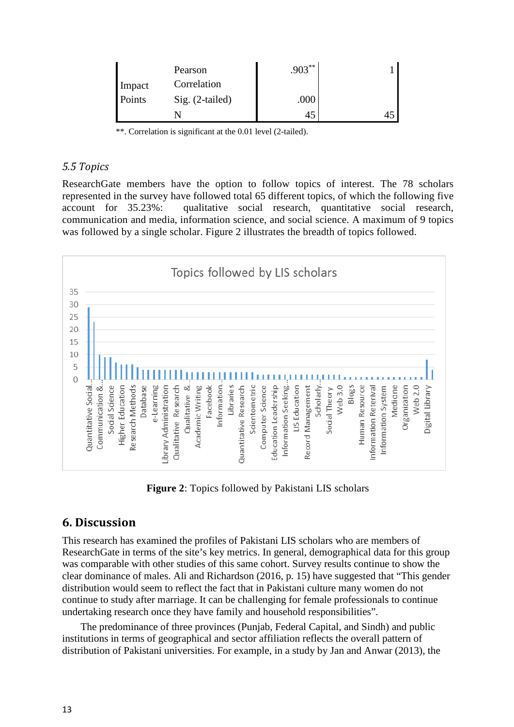|        | Pearson         | $.903***$ |  |
|--------|-----------------|-----------|--|
| Impact | Correlation     |           |  |
| Points | Sig. (2-tailed) | .000      |  |
|        |                 |           |  |

\*\*. Correlation is significant at the 0.01 level (2-tailed).

### *5.5 Topics*

ResearchGate members have the option to follow topics of interest. The 78 scholars represented in the survey have followed total 65 different topics, of which the following five account for 35.23%: qualitative social research, quantitative social research, communication and media, information science, and social science. A maximum of 9 topics was followed by a single scholar. Figure 2 illustrates the breadth of topics followed.



**Figure 2**: Topics followed by Pakistani LIS scholars

## **6. Discussion**

This research has examined the profiles of Pakistani LIS scholars who are members of ResearchGate in terms of the site's key metrics. In general, demographical data for this group was comparable with other studies of this same cohort. Survey results continue to show the clear dominance of males. Ali and Richardson (2016, p. 15) have suggested that "This gender distribution would seem to reflect the fact that in Pakistani culture many women do not continue to study after marriage. It can be challenging for female professionals to continue undertaking research once they have family and household responsibilities".

The predominance of three provinces (Punjab, Federal Capital, and Sindh) and public institutions in terms of geographical and sector affiliation reflects the overall pattern of distribution of Pakistani universities. For example, in a study by Jan and Anwar (2013), the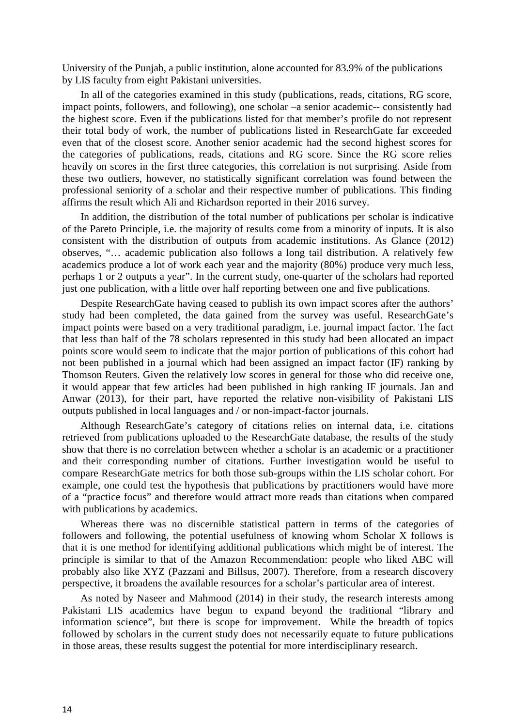University of the Punjab, a public institution, alone accounted for 83.9% of the publications by LIS faculty from eight Pakistani universities.

In all of the categories examined in this study (publications, reads, citations, RG score, impact points, followers, and following), one scholar –a senior academic-- consistently had the highest score. Even if the publications listed for that member's profile do not represent their total body of work, the number of publications listed in ResearchGate far exceeded even that of the closest score. Another senior academic had the second highest scores for the categories of publications, reads, citations and RG score. Since the RG score relies heavily on scores in the first three categories, this correlation is not surprising. Aside from these two outliers, however, no statistically significant correlation was found between the professional seniority of a scholar and their respective number of publications. This finding affirms the result which Ali and Richardson reported in their 2016 survey.

In addition, the distribution of the total number of publications per scholar is indicative of the Pareto Principle, i.e. the majority of results come from a minority of inputs. It is also consistent with the distribution of outputs from academic institutions. As Glance (2012) observes, "… academic publication also follows a long tail distribution. A relatively few academics produce a lot of work each year and the majority (80%) produce very much less, perhaps 1 or 2 outputs a year". In the current study, one-quarter of the scholars had reported just one publication, with a little over half reporting between one and five publications.

Despite ResearchGate having ceased to publish its own impact scores after the authors' study had been completed, the data gained from the survey was useful. ResearchGate's impact points were based on a very traditional paradigm, i.e. journal impact factor. The fact that less than half of the 78 scholars represented in this study had been allocated an impact points score would seem to indicate that the major portion of publications of this cohort had not been published in a journal which had been assigned an impact factor (IF) ranking by Thomson Reuters. Given the relatively low scores in general for those who did receive one, it would appear that few articles had been published in high ranking IF journals. Jan and Anwar (2013), for their part, have reported the relative non-visibility of Pakistani LIS outputs published in local languages and / or non-impact-factor journals.

Although ResearchGate's category of citations relies on internal data, i.e. citations retrieved from publications uploaded to the ResearchGate database, the results of the study show that there is no correlation between whether a scholar is an academic or a practitioner and their corresponding number of citations. Further investigation would be useful to compare ResearchGate metrics for both those sub-groups within the LIS scholar cohort. For example, one could test the hypothesis that publications by practitioners would have more of a "practice focus" and therefore would attract more reads than citations when compared with publications by academics.

Whereas there was no discernible statistical pattern in terms of the categories of followers and following, the potential usefulness of knowing whom Scholar X follows is that it is one method for identifying additional publications which might be of interest. The principle is similar to that of the Amazon Recommendation: people who liked ABC will probably also like XYZ (Pazzani and Billsus, 2007). Therefore, from a research discovery perspective, it broadens the available resources for a scholar's particular area of interest.

As noted by Naseer and Mahmood (2014) in their study, the research interests among Pakistani LIS academics have begun to expand beyond the traditional "library and information science", but there is scope for improvement. While the breadth of topics followed by scholars in the current study does not necessarily equate to future publications in those areas, these results suggest the potential for more interdisciplinary research.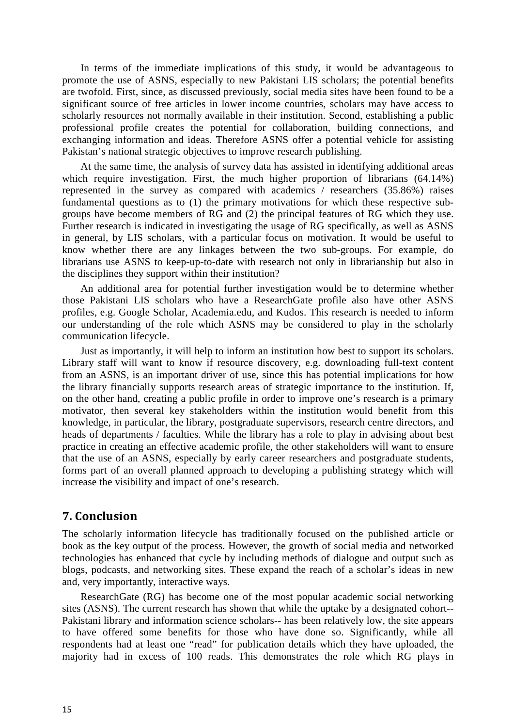In terms of the immediate implications of this study, it would be advantageous to promote the use of ASNS, especially to new Pakistani LIS scholars; the potential benefits are twofold. First, since, as discussed previously, social media sites have been found to be a significant source of free articles in lower income countries, scholars may have access to scholarly resources not normally available in their institution. Second, establishing a public professional profile creates the potential for collaboration, building connections, and exchanging information and ideas. Therefore ASNS offer a potential vehicle for assisting Pakistan's national strategic objectives to improve research publishing.

At the same time, the analysis of survey data has assisted in identifying additional areas which require investigation. First, the much higher proportion of librarians (64.14%) represented in the survey as compared with academics / researchers (35.86%) raises fundamental questions as to (1) the primary motivations for which these respective subgroups have become members of RG and (2) the principal features of RG which they use. Further research is indicated in investigating the usage of RG specifically, as well as ASNS in general, by LIS scholars, with a particular focus on motivation. It would be useful to know whether there are any linkages between the two sub-groups. For example, do librarians use ASNS to keep-up-to-date with research not only in librarianship but also in the disciplines they support within their institution?

An additional area for potential further investigation would be to determine whether those Pakistani LIS scholars who have a ResearchGate profile also have other ASNS profiles, e.g. Google Scholar, Academia.edu, and Kudos. This research is needed to inform our understanding of the role which ASNS may be considered to play in the scholarly communication lifecycle.

Just as importantly, it will help to inform an institution how best to support its scholars. Library staff will want to know if resource discovery, e.g. downloading full-text content from an ASNS, is an important driver of use, since this has potential implications for how the library financially supports research areas of strategic importance to the institution. If, on the other hand, creating a public profile in order to improve one's research is a primary motivator, then several key stakeholders within the institution would benefit from this knowledge, in particular, the library, postgraduate supervisors, research centre directors, and heads of departments / faculties. While the library has a role to play in advising about best practice in creating an effective academic profile, the other stakeholders will want to ensure that the use of an ASNS, especially by early career researchers and postgraduate students, forms part of an overall planned approach to developing a publishing strategy which will increase the visibility and impact of one's research.

## **7. Conclusion**

The scholarly information lifecycle has traditionally focused on the published article or book as the key output of the process. However, the growth of social media and networked technologies has enhanced that cycle by including methods of dialogue and output such as blogs, podcasts, and networking sites. These expand the reach of a scholar's ideas in new and, very importantly, interactive ways.

ResearchGate (RG) has become one of the most popular academic social networking sites (ASNS). The current research has shown that while the uptake by a designated cohort-- Pakistani library and information science scholars-- has been relatively low, the site appears to have offered some benefits for those who have done so. Significantly, while all respondents had at least one "read" for publication details which they have uploaded, the majority had in excess of 100 reads. This demonstrates the role which RG plays in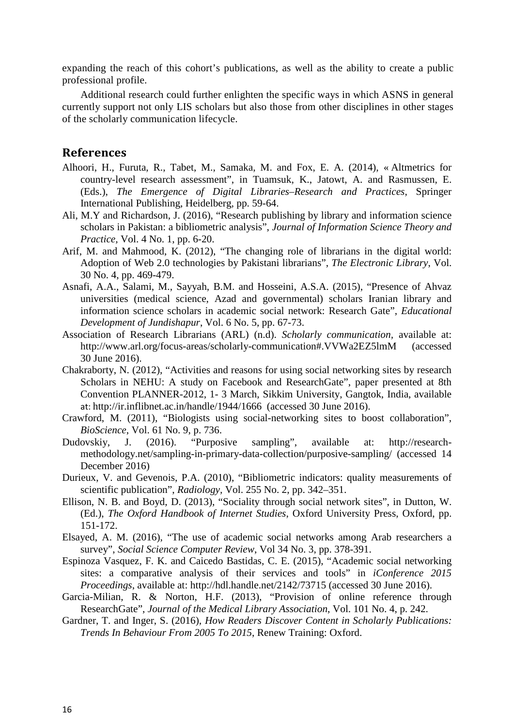expanding the reach of this cohort's publications, as well as the ability to create a public professional profile.

Additional research could further enlighten the specific ways in which ASNS in general currently support not only LIS scholars but also those from other disciplines in other stages of the scholarly communication lifecycle.

### **References**

- Alhoori, H., Furuta, R., Tabet, M., Samaka, M. and Fox, E. A. (2014), « Altmetrics for country-level research assessment", in Tuamsuk, K., Jatowt, A. and Rasmussen, E. (Eds.), *The Emergence of Digital Libraries–Research and Practices*, Springer International Publishing, Heidelberg, pp. 59-64.
- Ali, M.Y and Richardson, J. (2016), "Research publishing by library and information science scholars in Pakistan: a bibliometric analysis", *Journal of Information Science Theory and Practice,* Vol. 4 No. 1, pp. 6-20.
- Arif, M. and Mahmood, K. (2012), "The changing role of librarians in the digital world: Adoption of Web 2.0 technologies by Pakistani librarians", *The Electronic Library*, Vol. 30 No. 4, pp. 469-479.
- Asnafi, A.A., Salami, M., Sayyah, B.M. and Hosseini, A.S.A. (2015), "Presence of Ahvaz universities (medical science, Azad and governmental) scholars Iranian library and information science scholars in academic social network: Research Gate", *Educational Development of Jundishapur*, Vol. 6 No. 5, pp. 67-73.
- Association of Research Librarians (ARL) (n.d). *Scholarly communication,* available at: http://www.arl.org/focus-areas/scholarly-communication#.VVWa2EZ5lmM (accessed 30 June 2016).
- Chakraborty, N. (2012), "Activities and reasons for using social networking sites by research Scholars in NEHU: A study on Facebook and ResearchGate", paper presented at 8th Convention PLANNER-2012, 1- 3 March, Sikkim University, Gangtok, India, available at: http://ir.inflibnet.ac.in/handle/1944/1666 (accessed 30 June 2016).
- Crawford, M. (2011), "Biologists using social-networking sites to boost collaboration", *BioScience*, Vol. 61 No. 9, p. 736.
- Dudovskiy, J. (2016). "Purposive sampling", available at: http://researchmethodology.net/sampling-in-primary-data-collection/purposive-sampling/ (accessed 14 December 2016)
- Durieux, V. and Gevenois, P.A. (2010), "Bibliometric indicators: quality measurements of scientific publication", *Radiology,* Vol. 255 No. 2, pp. 342–351.
- Ellison, N. B. and Boyd, D. (2013), "Sociality through social network sites", in Dutton, W. (Ed.), *The Oxford Handbook of Internet Studies*, Oxford University Press, Oxford, pp. 151-172.
- Elsayed, A. M. (2016), "The use of academic social networks among Arab researchers a survey", *Social Science Computer Review*, Vol 34 No. 3, pp. 378-391.
- Espinoza Vasquez, F. K. and Caicedo Bastidas, C. E. (2015), "Academic social networking sites: a comparative analysis of their services and tools" in *iConference 2015 Proceedings*, available at: http://hdl.handle.net/2142/73715 (accessed 30 June 2016).
- Garcia-Milian, R. & Norton, H.F. (2013), "Provision of online reference through ResearchGate", *Journal of the Medical Library Association*, Vol. 101 No. 4, p. 242.
- Gardner, T. and Inger, S. (2016), *How Readers Discover Content in Scholarly Publications: Trends In Behaviour From 2005 To 2015*, Renew Training: Oxford.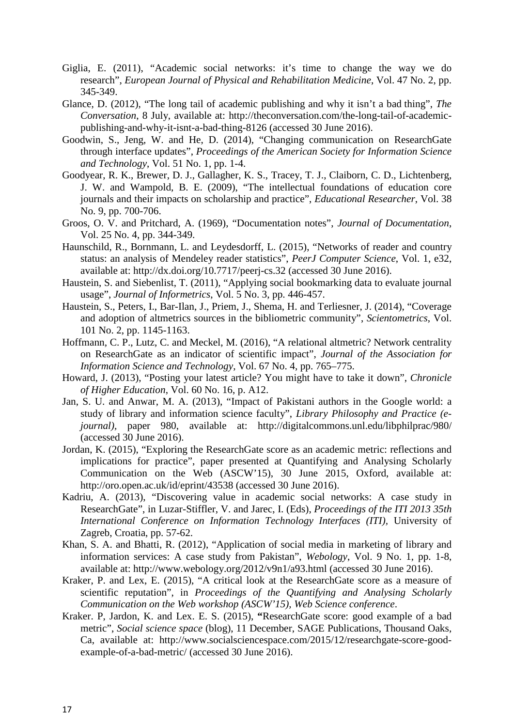- Giglia, E. (2011), "Academic social networks: it's time to change the way we do research", *European Journal of Physical and Rehabilitation Medicine*, Vol. 47 No. 2, pp. 345-349.
- Glance, D. (2012), "The long tail of academic publishing and why it isn't a bad thing", *The Conversation*, 8 July, available at: http://theconversation.com/the-long-tail-of-academicpublishing-and-why-it-isnt-a-bad-thing-8126 (accessed 30 June 2016).
- Goodwin, S., Jeng, W. and He, D. (2014), "Changing communication on ResearchGate through interface updates", *Proceedings of the American Society for Information Science and Technology*, Vol. 51 No. 1, pp. 1-4.
- Goodyear, R. K., Brewer, D. J., Gallagher, K. S., Tracey, T. J., Claiborn, C. D., Lichtenberg, J. W. and Wampold, B. E. (2009), "The intellectual foundations of education core journals and their impacts on scholarship and practice", *Educational Researcher*, Vol. 38 No. 9, pp. 700-706.
- Groos, O. V. and Pritchard, A. (1969), "Documentation notes", *Journal of Documentation*, Vol. 25 No. 4, pp. 344-349.
- Haunschild, R., Bornmann, L. and Leydesdorff, L. (2015), "Networks of reader and country status: an analysis of Mendeley reader statistics", *PeerJ Computer Science*, Vol. 1, e32, available at: http://dx.doi.org/10.7717/peerj-cs.32 (accessed 30 June 2016).
- Haustein, S. and Siebenlist, T. (2011), "Applying social bookmarking data to evaluate journal usage", *Journal of Informetrics*, Vol. 5 No. 3, pp. 446-457.
- Haustein, S., Peters, I., Bar-Ilan, J., Priem, J., Shema, H. and Terliesner, J. (2014), "Coverage and adoption of altmetrics sources in the bibliometric community", *Scientometrics*, Vol. 101 No. 2, pp. 1145-1163.
- Hoffmann, C. P., Lutz, C. and Meckel, M. (2016), "A relational altmetric? Network centrality on ResearchGate as an indicator of scientific impact", *Journal of the Association for Information Science and Technology*, Vol. 67 No. 4, pp. 765–775.
- Howard, J. (2013), "Posting your latest article? You might have to take it down", *Chronicle of Higher Education*, Vol. 60 No. 16, p. A12.
- Jan, S. U. and Anwar, M. A. (2013), "Impact of Pakistani authors in the Google world: a study of library and information science faculty", *Library Philosophy and Practice (ejournal),* paper 980, available at: http://digitalcommons.unl.edu/libphilprac/980/ (accessed 30 June 2016).
- Jordan, K. (2015), "Exploring the ResearchGate score as an academic metric: reflections and implications for practice", paper presented at Quantifying and Analysing Scholarly Communication on the Web (ASCW'15), 30 June 2015, Oxford, available at: http://oro.open.ac.uk/id/eprint/43538 (accessed 30 June 2016).
- Kadriu, A. (2013), "Discovering value in academic social networks: A case study in ResearchGate", in Luzar-Stiffler, V. and Jarec, I. (Eds), *Proceedings of the ITI 2013 35th International Conference on Information Technology Interfaces (ITI),* University of Zagreb, Croatia, pp. 57-62.
- Khan, S. A. and Bhatti, R. (2012), "Application of social media in marketing of library and information services: A case study from Pakistan", *Webology*, Vol. 9 No. 1, pp. 1-8, available at: http://www.webology.org/2012/v9n1/a93.html (accessed 30 June 2016).
- Kraker, P. and Lex, E. (2015), "A critical look at the ResearchGate score as a measure of scientific reputation", in *Proceedings of the Quantifying and Analysing Scholarly Communication on the Web workshop (ASCW'15), Web Science conference*.
- Kraker. P, Jardon, K. and Lex. E. S. (2015), **"**ResearchGate score: good example of a bad metric", *Social science space* (blog), 11 December, SAGE Publications, Thousand Oaks, Ca, available at: http://www.socialsciencespace.com/2015/12/researchgate-score-goodexample-of-a-bad-metric/ (accessed 30 June 2016).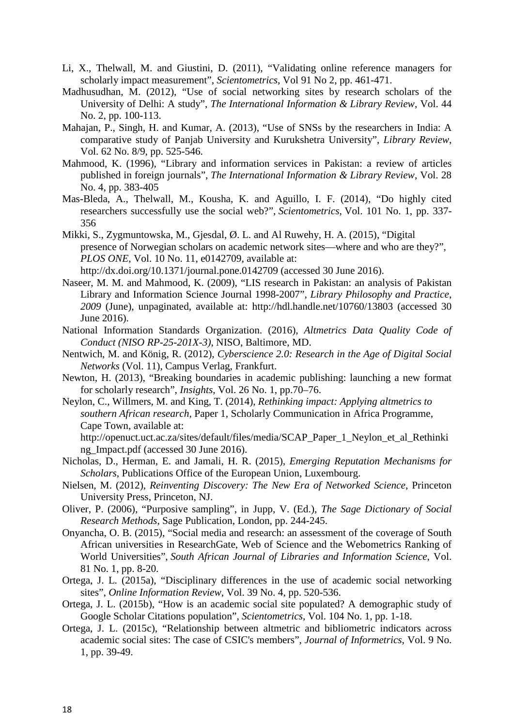- Li, X., Thelwall, M. and Giustini, D. (2011), "Validating online reference managers for scholarly impact measurement", *Scientometrics*, Vol 91 No 2, pp. 461-471.
- Madhusudhan, M. (2012), "Use of social networking sites by research scholars of the University of Delhi: A study", *The International Information & Library Review*, Vol. 44 No. 2, pp. 100-113.
- Mahajan, P., Singh, H. and Kumar, A. (2013), "Use of SNSs by the researchers in India: A comparative study of Panjab University and Kurukshetra University", *Library Review*, Vol. 62 No. 8/9, pp. 525-546.
- Mahmood, K. (1996), "Library and information services in Pakistan: a review of articles published in foreign journals", *The International Information & Library Review*, Vol. 28 No. 4, pp. 383-405
- Mas-Bleda, A., Thelwall, M., Kousha, K. and Aguillo, I. F. (2014), "Do highly cited researchers successfully use the social web?", *Scientometrics*, Vol. 101 No. 1, pp. 337- 356
- Mikki, S., Zygmuntowska, M., Gjesdal, Ø. L. and Al Ruwehy, H. A. (2015), "Digital presence of Norwegian scholars on academic network sites—where and who are they?", *PLOS ONE*, Vol. 10 No. 11, e0142709, available at: http://dx.doi.org/10.1371/journal.pone.0142709 (accessed 30 June 2016).
- Naseer, M. M. and Mahmood, K. (2009), "LIS research in Pakistan: an analysis of Pakistan Library and Information Science Journal 1998-2007", *Library Philosophy and Practice*, *2009* (June), unpaginated, available at: http://hdl.handle.net/10760/13803 (accessed 30 June 2016).
- National Information Standards Organization. (2016), *Altmetrics Data Quality Code of Conduct (NISO RP-25-201X-3)*, NISO, Baltimore, MD.
- Nentwich, M. and König, R. (2012), *Cyberscience 2.0: Research in the Age of Digital Social Networks* (Vol. 11), Campus Verlag, Frankfurt.
- Newton, H. (2013), "Breaking boundaries in academic publishing: launching a new format for scholarly research", *Insights*, Vol. 26 No. 1, pp.70–76.
- Neylon, C., Willmers, M. and King, T. (2014), *Rethinking impact: Applying altmetrics to southern African research*, Paper 1, Scholarly Communication in Africa Programme, Cape Town, available at: http://openuct.uct.ac.za/sites/default/files/media/SCAP\_Paper\_1\_Neylon\_et\_al\_Rethinki ng\_Impact.pdf (accessed 30 June 2016).
- Nicholas, D., Herman, E. and Jamali, H. R. (2015), *Emerging Reputation Mechanisms for Scholars*, Publications Office of the European Union, Luxembourg.
- Nielsen, M. (2012), *Reinventing Discovery: The New Era of Networked Science*, Princeton University Press, Princeton, NJ.
- Oliver, P. (2006), "Purposive sampling", in Jupp, V. (Ed.), *The Sage Dictionary of Social Research Methods*, Sage Publication, London, pp. 244-245.
- Onyancha, O. B. (2015), "Social media and research: an assessment of the coverage of South African universities in ResearchGate, Web of Science and the Webometrics Ranking of World Universities", *South African Journal of Libraries and Information Science*, Vol. 81 No. 1, pp. 8-20.
- Ortega, J. L. (2015a), "Disciplinary differences in the use of academic social networking sites", *Online Information Review*, Vol. 39 No. 4, pp. 520-536.
- Ortega, J. L. (2015b), "How is an academic social site populated? A demographic study of Google Scholar Citations population", *Scientometrics*, Vol. 104 No. 1, pp. 1-18.
- Ortega, J. L. (2015c), "Relationship between altmetric and bibliometric indicators across academic social sites: The case of CSIC's members", *Journal of Informetrics*, Vol. 9 No. 1, pp. 39-49.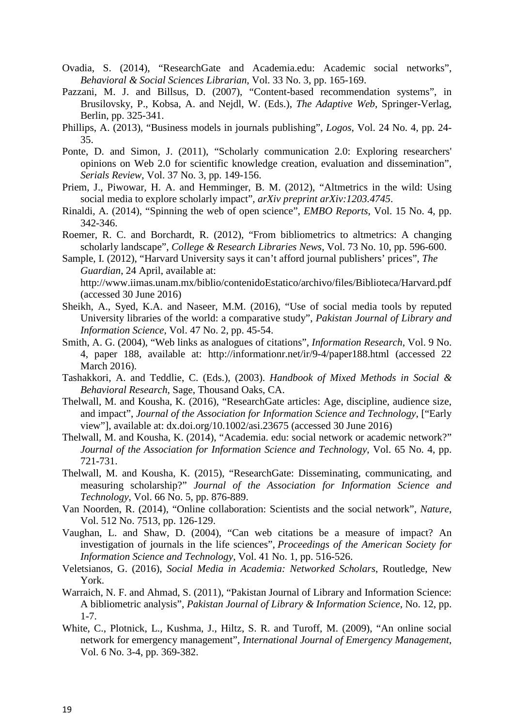- Ovadia, S. (2014), "ResearchGate and Academia.edu: Academic social networks", *Behavioral & Social Sciences Librarian*, Vol. 33 No. 3, pp. 165-169.
- Pazzani, M. J. and Billsus, D. (2007), "Content-based recommendation systems", in Brusilovsky, P., Kobsa, A. and Nejdl, W. (Eds.), *The Adaptive Web*, Springer-Verlag, Berlin, pp. 325-341.
- Phillips, A. (2013), "Business models in journals publishing", *Logos*, Vol. 24 No. 4, pp. 24- 35.
- Ponte, D. and Simon, J. (2011), "Scholarly communication 2.0: Exploring researchers' opinions on Web 2.0 for scientific knowledge creation, evaluation and dissemination", *Serials Review*, Vol. 37 No. 3, pp. 149-156.
- Priem, J., Piwowar, H. A. and Hemminger, B. M. (2012), "Altmetrics in the wild: Using social media to explore scholarly impact", *arXiv preprint arXiv:1203.4745*.
- Rinaldi, A. (2014), "Spinning the web of open science", *EMBO Reports*, Vol. 15 No. 4, pp. 342-346.
- Roemer, R. C. and Borchardt, R. (2012), "From bibliometrics to altmetrics: A changing scholarly landscape", *College & Research Libraries News*, Vol. 73 No. 10, pp. 596-600.
- Sample, I. (2012), "Harvard University says it can't afford journal publishers' prices", *The Guardian*, 24 April, available at: http://www.iimas.unam.mx/biblio/contenidoEstatico/archivo/files/Biblioteca/Harvard.pdf (accessed 30 June 2016)
- Sheikh, A., Syed, K.A. and Naseer, M.M. (2016), "Use of social media tools by reputed University libraries of the world: a comparative study", *Pakistan Journal of Library and Information Science*, Vol. 47 No. 2, pp. 45-54.
- Smith, A. G. (2004), "Web links as analogues of citations", *Information Research*, Vol. 9 No. 4, paper 188, available at: http://informationr.net/ir/9-4/paper188.html (accessed 22 March 2016).
- Tashakkori, A. and Teddlie, C. (Eds.), (2003). *Handbook of Mixed Methods in Social & Behavioral Research*, Sage, Thousand Oaks, CA.
- Thelwall, M. and Kousha, K. (2016), "ResearchGate articles: Age, discipline, audience size, and impact", *Journal of the Association for Information Science and Technology*, ["Early view"], available at: dx.doi.org/10.1002/asi.23675 (accessed 30 June 2016)
- Thelwall, M. and Kousha, K. (2014), "Academia. edu: social network or academic network?" *Journal of the Association for Information Science and Technology*, Vol. 65 No. 4, pp. 721-731.
- Thelwall, M. and Kousha, K. (2015), "ResearchGate: Disseminating, communicating, and measuring scholarship?" *Journal of the Association for Information Science and Technology*, Vol. 66 No. 5, pp. 876-889.
- Van Noorden, R. (2014), "Online collaboration: Scientists and the social network", *Nature*, Vol. 512 No. 7513, pp. 126-129.
- Vaughan, L. and Shaw, D. (2004), "Can web citations be a measure of impact? An investigation of journals in the life sciences", *Proceedings of the American Society for Information Science and Technology*, Vol. 41 No. 1, pp. 516-526.
- Veletsianos, G. (2016), *Social Media in Academia: Networked Scholars*, Routledge, New York.
- Warraich, N. F. and Ahmad, S. (2011), "Pakistan Journal of Library and Information Science: A bibliometric analysis", *Pakistan Journal of Library & Information Science*, No. 12, pp. 1-7.
- White, C., Plotnick, L., Kushma, J., Hiltz, S. R. and Turoff, M. (2009), "An online social network for emergency management", *International Journal of Emergency Management*, Vol. 6 No. 3-4, pp. 369-382.